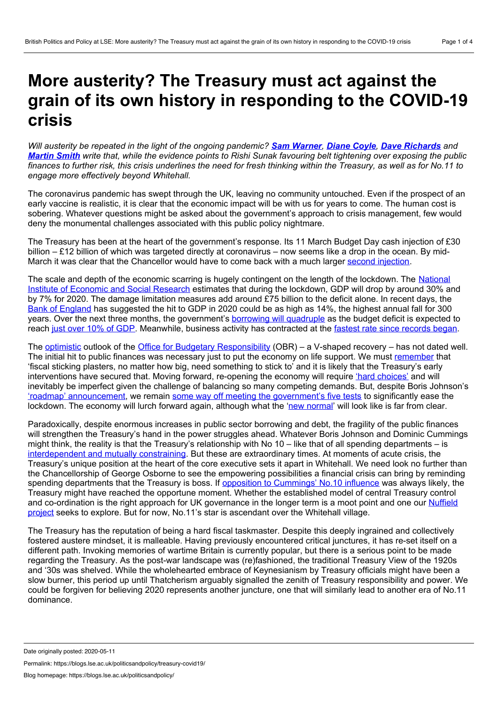## <span id="page-0-0"></span>**More austerity? The Treasury must act against the grain of its own history in responding to the COVID-19 crisis**

Will austerity be repeated in the light of the ongoing pandemic? Sam [Warner](#page-0-0), [Diane](#page-0-0) Coyle, Dave [Richards](#page-0-0) and [Martin](#page-0-0) Smith write that, while the evidence points to Rishi Sunak favouring belt tightening over exposing the public finances to further risk, this crisis underlines the need for fresh thinking within the Treasury, as well as for No.11 to *engage more effectively beyond Whitehall.*

The coronavirus pandemic has swept through the UK, leaving no community untouched. Even if the prospect of an early vaccine is realistic, it is clear that the economic impact will be with us for years to come. The human cost is sobering. Whatever questions might be asked about the government's approach to crisis management, few would deny the monumental challenges associated with this public policy nightmare.

The Treasury has been at the heart of the government's response. Its 11 March Budget Day cash injection of £30 billion – £12 billion of which was targeted directly at coronavirus – now seems like a drop in the ocean. By midMarch it was clear that the Chancellor would have to come back with a much larger second [injection](https://www.ifs.org.uk/publications/14759).

The scale and depth of the economic scarring is hugely [contingent](https://www.niesr.ac.uk/publications/prospects-uk-economy-36) on the length of the lockdown. The National Institute of Economic and Social Research estimates that during the lockdown, GDP will drop by around 30% and by 7% for 2020. The damage limitation measures add around £75 billion to the deficit alone. In recent days, the Bank of [England](https://www.ft.com/content/734e604b-93d9-43a6-a6ec-19e8b22dad3c) has suggested the hit to GDP in 2020 could be as high as 14%, the highest annual fall for 300 years. Over the next three months, the government's borrowing will [quadruple](https://www.ft.com/content/8886e002-c260-4daa-8b7b-509b3f7e6edb) as the budget deficit is expected to reach just over 10% of [GDP](https://www.niesr.ac.uk/sites/default/files/UK%20Economy%20Press%20Release%20-%20NIER%20No252%20May%20-%20For%20Immediate%20Release.pdf). Meanwhile, business activity has contracted at the fastest rate since [records](https://www.ft.com/content/46b262ab-20e5-4ef4-b31e-edbb5106d232) began.

The **[optimistic](https://www.ft.com/content/73a35c9e-7f41-11ea-82f6-150830b3b99a)** outlook of the Office for Budgetary [Responsibility](https://cdn.obr.uk/The_OBRs_coronavirus_analysis.pdf) (OBR) – a V-shaped recovery – has not dated well. The initial hit to public finances was necessary just to put the economy on life support. We must [remember](https://www.cam.ac.uk/stories/coylecovid) that 'fiscal sticking plasters, no matter how big, need something to stick to' and it is likely that the Treasury's early interventions have secured that. Moving forward, re-opening the economy will require 'hard [choices'](https://www.instituteforgovernment.org.uk/blog/hard-choices-lifting-coronavirus-lockdown) and will inevitably be imperfect given the challenge of balancing so many competing demands. But, despite Boris Johnson's 'roadmap' [announcement,](https://www.bbc.co.uk/news/uk-52609952) we remain some way off meeting the [government's](https://www.ft.com/content/d0dc03f2-eafa-497e-a982-c10b147605ed) five tests to significantly ease the lockdown. The economy will lurch forward again, although what the 'new [normal'](https://www.ft.com/content/e90fa942-809f-11ea-82f6-150830b3b99a) will look like is far from clear.

Paradoxically, despite enormous increases in public sector borrowing and debt, the fragility of the public finances will strengthen the Treasury's hand in the power struggles ahead. Whatever Boris Johnson and Dominic Cummings might think, the reality is that the Treasury's relationship with No 10 – like that of all spending departments – is [interdependent](https://books.google.co.uk/books?id=nLjvoc2fZq0C&pg=PA521&lpg=PA521&dq=porthole+principle+treasury&source=bl&ots=YJIf6zp6G3&sig=ACfU3U1f2X2z-1jY1_iea_5idsvWwEsBbg&hl=en&sa=X&ved=2ahUKEwin-LqSk5HpAhWQYsAKHUx_DIYQ6AEwAHoECAgQAQ#v=onepage&q=porthole%20principle%20treasury&f=false) and mutually constraining. But these are extraordinary times. At moments of acute crisis, the Treasury's unique position at the heart of the core executive sets it apart in Whitehall. We need look no further than the Chancellorship of George Osborne to see the empowering possibilities a financial crisis can bring by reminding spending departments that the Treasury is boss. If opposition to [Cummings'](https://blogs.lse.ac.uk/politicsandpolicy/dominic-cummings-civil-service/) No.10 influence was always likely, the Treasury might have reached the opportune moment. Whether the established model of central Treasury control and [co-ordination](https://sites.manchester.ac.uk/public-expenditure-planning-and-control/) is the right approach for UK governance in the longer term is a moot point and one our Nuffield project seeks to explore. But for now, No.11's star is ascendant over the Whitehall village.

The Treasury has the reputation of being a hard fiscal taskmaster. Despite this deeply ingrained and collectively fostered austere mindset, it is malleable. Having previously encountered critical junctures, it has re-set itself on a different path. Invoking memories of wartime Britain is currently popular, but there is a serious point to be made regarding the Treasury. As the post-war landscape was (re)fashioned, the traditional Treasury View of the 1920s and '30s was shelved. While the wholehearted embrace of Keynesianism by Treasury officials might have been a slow burner, this period up until Thatcherism arguably signalled the zenith of Treasury responsibility and power. We could be forgiven for believing 2020 represents another juncture, one that will similarly lead to another era of No.11 dominance.

Permalink: https://blogs.lse.ac.uk/politicsandpolicy/treasury-covid19/

Date originally posted: 2020-05-11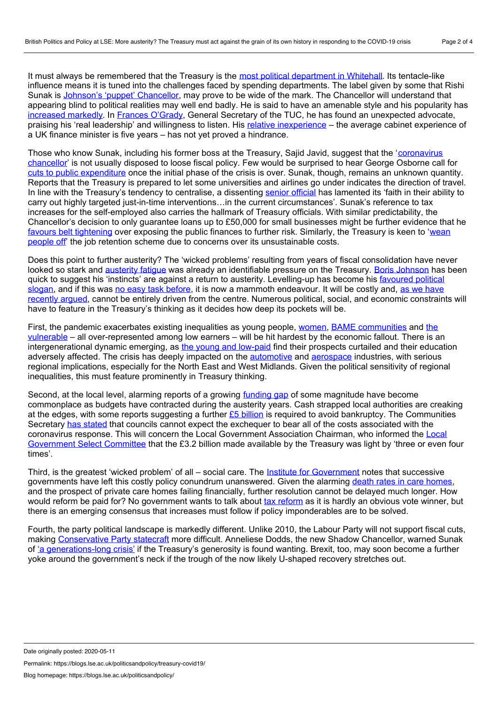It must always be remembered that the Treasury is the most political [department](https://journals.sagepub.com/doi/abs/10.1111/j.1467-856X.2004.00130.x) in Whitehall. Its tentacle-like influence means it is tuned into the challenges faced by spending departments. The label given by some that Rishi Sunak is Johnson's 'puppet' [Chancellor,](https://citywire.co.uk/wealth-manager/news/no-10s-puppet-stunned-city-reacts-to-the-chancellors-exit/a1323735) may prove to be wide of the mark. The Chancellor will understand that appearing blind to political realities may well end badly. He is said to have an amenable style and his popularity has [increased](https://www.cityam.com/high-spending-rishi-sunak-proves-a-hit-among-brits/) markedly. In Frances [O'Grady](https://twitter.com/francesogrady/status/1241057964762501123?lang=en), General Secretary of the TUC, he has found an unexpected advocate, praising his 'real leadership' and willingness to listen. His relative [inexperience](https://theconversation.com/rishi-sunak-can-the-uks-bright-young-chancellor-change-british-politics-135360) – the average cabinet experience of a UK finance minister is five years – has not yet proved a hindrance.

Those who know Sunak, including his former boss at the Treasury, Sajid Javid, suggest that the ['coronavirus](https://www.ft.com/content/b465a3fe-73b1-11ea-ad98-044200cb277f)' chancellor' is not usually disposed to loose fiscal policy. Few would be surprised to hear George Osborne call for cuts to public [expenditure](https://www.bloomberg.com/news/articles/2020-04-20/architect-of-u-k-austerity-says-retrenchment-needed-post-crisis) once the initial phase of the crisis is over. Sunak, though, remains an unknown quantity. Reports that the Treasury is prepared to let some universities and airlines go under indicates the direction of travel. In line with the Treasury's tendency to centralise, a dissenting senior [official](https://www.ft.com/content/dc8e2aa4-1c8f-43b9-99c1-e1f87b369b43) has lamented its 'faith in their ability to carry out highly targeted just-in-time interventions…in the current circumstances'. Sunak's reference to tax increases for the self-employed also carries the hallmark of Treasury officials. With similar predictability, the Chancellor's decision to only guarantee loans up to £50,000 for small businesses might be further evidence that he favours belt [tightening](https://www.newstatesman.com/politics/economy/2020/04/rishi-sunak-doubles-down-his-coronavirus-loans-and-gears-argue-austerity) over exposing the public finances to further risk. Similarly, the Treasury is keen to 'wean people off' the job retention scheme due to concerns over its [unsustainable](https://amp.ft.com/content/316c2353-fe00-4cd8-91de-dd4f2413a938?__twitter_impression=true) costs.

Does this point to further austerity? The 'wicked problems' resulting from years of fiscal consolidation have never looked so stark and [austerity](https://obr.uk/docs/dlm_uploads/Fiscalrisksreport2019.pdf) fatigue was already an identifiable pressure on the Treasury. Boris [Johnson](https://www.independent.co.uk/news/uk/politics/coronavirus-austerity-boris-johnson-lockdown-economy-a9493096.html) has been quick to suggest his 'instincts' are against a return to austerity. [Levelling-up](https://www.prospectmagazine.co.uk/politics/levelling-up-why-boris-johnson-cant-stop-saying-it-and-what-he-really-means-speech-politics-language) has become his favoured political slogan, and if this was no easy task [before](https://www.ft.com/content/c9db4c66-5971-11ea-a528-dd0f971febbc), it is now a mammoth [endeavour.](https://blogs.lse.ac.uk/politicsandpolicy/institutionalised-conflict-in-uk-economic-policymaking/) It will be costly and, as we have recently argued, cannot be entirely driven from the centre. Numerous political, social, and economic constraints will have to feature in the Treasury's thinking as it decides how deep its pockets will be.

First, the pandemic exacerbates existing inequalities as young people, [women](https://blogs.lse.ac.uk/politicsandpolicy/gender-and-covid19/), BAME [communities](https://theconversation.com/coronavirus-is-hitting-bame-communities-hard-on-every-front-136327) and the vulnerable – all [over-represented](https://www.ifs.org.uk/publications/14800) among low earners – will be hit hardest by the economic fallout. There is an intergenerational dynamic emerging, as the young and [low-paid](https://www.resolutionfoundation.org/press-releases/women-the-young-and-low-paid-workers-are-bearing-the-biggest-health-and-economic-risks-from-the-coronavirus-crisis/) find their prospects curtailed and their education adversely affected. The crisis has deeply impacted on the [automotive](https://www.theguardian.com/business/2020/mar/18/bmw-and-toyota-suspend-european-operations-coronavirus) and [aerospace](https://www.bbc.co.uk/news/uk-wales-52223004) industries, with serious regional implications, especially for the North East and West Midlands. Given the political sensitivity of regional inequalities, this must feature prominently in Treasury thinking.

Second, at the local level, alarming reports of a growing [funding](https://www.localgov.co.uk/Councils-face-19bn-funding-gap-by-2025/50045) gap of some magnitude have become commonplace as budgets have contracted during the austerity years. Cash strapped local authorities are creaking at the edges, with some reports suggesting a further  $E5$  [billion](https://www.theguardian.com/world/2020/apr/26/coronavirus-crisis-english-councils-funding-shortfall) is required to avoid bankruptcy. The Communities Secretary has [stated](https://www.lgcplus.com/politics/coronavirus/jenrick-warns-not-all-costs-will-be-covered-as-lost-income-estimates-branded-highly-speculative-05-05-2020/) that councils cannot expect the exchequer to bear all of the costs associated with the coronavirus response. This will concern the Local [Government](https://parliamentlive.tv/Event/Index/4629ed76-2176-41d6-8c81-fdfe57c6c1c5) Association Chairman, who informed the Local Government Select Committee that the £3.2 billion made available by the Treasury was light by 'three or even four times'.

Third, is the greatest 'wicked problem' of all – social care. The Institute for [Government](https://www.instituteforgovernment.org.uk/publication/performance-tracker-2019/adult-social-care) notes that successive governments have left this costly policy conundrum unanswered. Given the alarming death rates in care [homes](https://www.bbc.co.uk/news/health-52455072), and the prospect of private care homes failing financially, further resolution cannot be delayed much longer. How would [reform](https://www.instituteforgovernment.org.uk/sites/default/files/publications/overcoming-barriers-tax-reform.pdf) be paid for? No government wants to talk about tax reform as it is hardly an obvious vote winner, but there is an emerging consensus that increases must follow if policy imponderables are to be solved.

Fourth, the party political landscape is markedly different. Unlike 2010, the Labour Party will not support fiscal cuts, making [Conservative](https://academic.oup.com/pa/article-abstract/68/1/42/2755189) Party statecraft more difficult. Anneliese Dodds, the new Shadow Chancellor, warned Sunak of 'a [generations-long](https://www.theguardian.com/commentisfree/2020/apr/28/rishi-sunak-coronavirus-rescue-plan-labour-britain-economy) crisis' if the Treasury's generosity is found wanting. Brexit, too, may soon become a further yoke around the government's neck if the trough of the now likely U-shaped recovery stretches out.

Date originally posted: 2020-05-11

Permalink: https://blogs.lse.ac.uk/politicsandpolicy/treasury-covid19/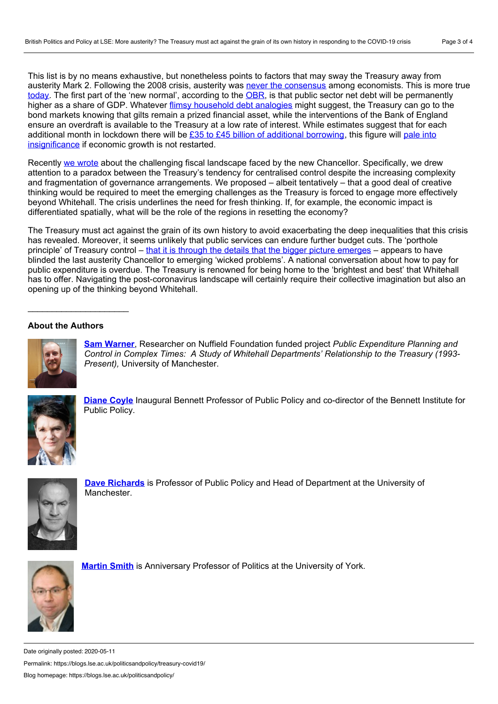This list is by no means exhaustive, but nonetheless points to factors that may sway the Treasury away from austerity Mark 2. Following the 2008 crisis, austerity was never the [consensus](https://www.theguardian.com/commentisfree/2020/mar/12/end-austerity-budget-george-osborne-public-spending-cuts-rishi-sunak) among economists. This is more true [today.](https://www.newstatesman.com/politics/economy/2020/05/top-economists-warn-uk-not-repeat-austerity-after-covid-19-crisis) The first part of the 'new normal', according to the [OBR](https://cdn.obr.uk/The_OBRs_coronavirus_analysis.pdf), is that public sector net debt will be permanently higher as a share of GDP. Whatever flimsy [household](https://www.theguardian.com/commentisfree/2020/apr/27/economy-recover-coronavirus-debt-austerity) debt analogies might suggest, the Treasury can go to the bond markets knowing that gilts remain a prized financial asset, while the interventions of the Bank of England ensure an overdraft is available to the Treasury at a low rate of interest. While estimates suggest that for each additional month in lockdown there will be £35 to £45 billion of additional [borrowing,](https://cdn.obr.uk/Coronavirus_reference_scenario_commentary.pdf) this figure will pale into [insignificance](https://www.prospectmagazine.co.uk/economics-and-finance/coronavirus-covid-19-recession-austerity-economy-spending) if economic growth is not restarted.

Recently we [wrote](https://blogs.lse.ac.uk/politicsandpolicy/institutionalised-conflict-in-uk-economic-policymaking/) about the challenging fiscal landscape faced by the new Chancellor. Specifically, we drew attention to a paradox between the Treasury's tendency for centralised control despite the increasing complexity and fragmentation of governance arrangements. We proposed – albeit tentatively – that a good deal of creative thinking would be required to meet the emerging challenges as the Treasury is forced to engage more effectively beyond Whitehall. The crisis underlines the need for fresh thinking. If, for example, the economic impact is differentiated spatially, what will be the role of the regions in resetting the economy?

The Treasury must act against the grain of its own history to avoid exacerbating the deep inequalities that this crisis has revealed. Moreover, it seems unlikely that public services can endure further budget cuts. The 'porthole principle' of Treasury control – that it is through the details that the bigger picture [emerges](https://books.google.co.uk/books?id=kfqADAAAQBAJ&pg=PA18&lpg=PA18&dq=porthole+principle+treasury&source=bl&ots=zEEdC8l277&sig=ACfU3U09oLJXTQ9jbjleOBuKcFQeioK7Vg&hl=en&sa=X&ved=2ahUKEwin-LqSk5HpAhWQYsAKHUx_DIYQ6AEwCXoECAsQAQ#v=onepage&q=porthole%20principle%20treasury&f=false) – appears to have blinded the last austerity Chancellor to emerging 'wicked problems'. A national conversation about how to pay for public expenditure is overdue. The Treasury is renowned for being home to the 'brightest and best' that Whitehall has to offer. Navigating the post-coronavirus landscape will certainly require their collective imagination but also an opening up of the thinking beyond Whitehall.

## **About the Authors**



**Sam [Warner](https://www.research.manchester.ac.uk/portal/samuel.warner.html)**, Researcher on Nuffield Foundation funded project *Public Expenditure Planning and Control in Complex Times: A Study of Whitehall Departments' Relationship to the Treasury (1993- Present),* University of Manchester.



**[Diane](https://www.bennettinstitute.cam.ac.uk/about-us/team/diane-coyle/) Coyle** Inaugural Bennett Professor of Public Policy and co-director of the Bennett Institute for Public Policy.



**Dave [Richards](https://www.research.manchester.ac.uk/portal/en/researchers/david-richards(4b474d49-8034-479d-a85c-858954229c70).html)** is Professor of Public Policy and Head of Department at the University of Manchester.



**[Martin](https://www.york.ac.uk/politics/people/academicstaff/martin-smith/) Smith** is Anniversary Professor of Politics at the University of York.

Date originally posted: 2020-05-11 Permalink: https://blogs.lse.ac.uk/politicsandpolicy/treasury-covid19/ Blog homepage: https://blogs.lse.ac.uk/politicsandpolicy/